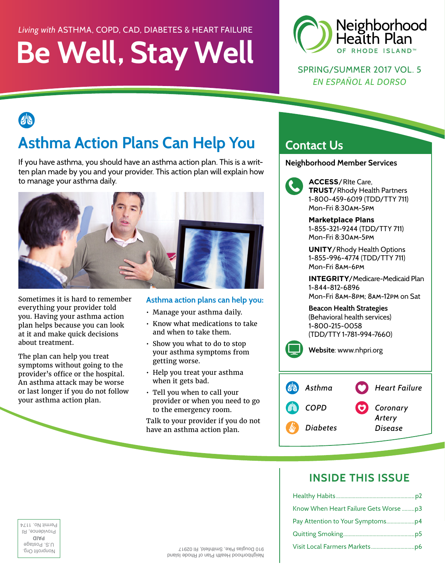### *Living with* ASTHMA, COPD, CAD, DIABETES & HEART FAILURE

# **Be Well, Stay Well**



SPRING/SUMMER 2017 VOL. 5 *EN ESPAÑOL AL DORSO* 

etc.

# **Asthma Action Plans Can Help You**

If you have asthma, you should have an asthma action plan. This is a written plan made by you and your provider. This action plan will explain how to manage your asthma daily.



Sometimes it is hard to remember everything your provider told you. Having your asthma action plan helps because you can look at it and make quick decisions about treatment.

The plan can help you treat symptoms without going to the provider's office or the hospital. An asthma attack may be worse or last longer if you do not follow your asthma action plan.

#### **Asthma action plans can help you:**

- Manage your asthma daily.
- Know what medications to take and when to take them.
- Show you what to do to stop your asthma symptoms from getting worse.
- Help you treat your asthma when it gets bad.
- Tell you when to call your provider or when you need to go to the emergency room.

Talk to your provider if you do not have an asthma action plan.

### **Contact Us**

**Neighborhood Member Services** 



**140**<br>**140**<br>1-8<br>Mo **ACCESS**/RIte Care, **TRUST**/Rhody Health Partners 1-800-459-6019 (TDD/TTY 711) Mon-Fri 8:30am-5pm

**Marketplace Plans**  1-855-321-9244 (TDD/TTY 711) Mon-Fri 8:30am-5pm

**UNITY**/Rhody Health Options 1-855-996-4774 (TDD/TTY 711) Mon-Fri 8am-6pm

**INTEGRITY**/Medicare-Medicaid Plan 1-844-812-6896 Mon-Fri 8am-8pm; 8am-12pm on Sat

 **Beacon Health Strategies** (Behavioral health services) 1-800-215-0058 (TDD/TTY 1-781-994-7660)

**Website**: www.nhpri.org



### **INSIDE THIS ISSUE**

| Permit No. 117                 |                                        |  |
|--------------------------------|----------------------------------------|--|
| Providence, H<br>alAq          |                                        |  |
| U.S. Postage<br>Nonprofit Urg. | 910 Douglas Pike, Smithfield, RI 02917 |  |

provided and the second of the second state of the second state of the second state of the second state of the second state of the second state of the second state of the second state of the second state of the second stat **PAID** Providence, RI Permit No. 1174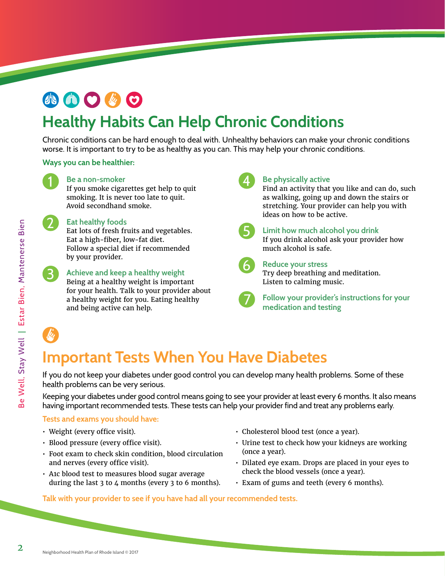# 小曲〇必〇

## **Healthy Habits Can Help Chronic Conditions**

Chronic conditions can be hard enough to deal with. Unhealthy behaviors can make your chronic conditions worse. It is important to try to be as healthy as you can. This may help your chronic conditions.

#### **Ways you can be healthier:**



#### **Be a non-smoker**

**1** Be a non-smoker<br>If you smoke cigarettes get help to quit smoking. It is never too late to quit. Avoid secondhand smoke.

#### **Eat healthy foods**

2 Eat healthy foods<br>Eat lots of fresh fruits and vegetables. 2 Eat Eat a high-fiber, low-fat diet. Follow a special diet if recommended by your provider.



# **36**<br>**Achieve and keep a healthy weight 6**<br>**Reing at a healthy weight** is important

B<br>B<br>B<br>for Being at a healthy weight is important for your health. Talk to your provider about a healthy weight for you. Eating healthy and being active can help.

# 4 Be<br>Fir<br>as

**Be physically active** 

Find an activity that you like and can do, such as walking, going up and down the stairs or stretching. Your provider can help you with ideas on how to be active.

 $\begin{array}{c} 5 \ \end{array}$   $\begin{array}{c} \text{Lir} \\ \text{If } y \\ \text{mi} \end{array}$ 

**Limit how much alcohol you drink**  If you drink alcohol ask your provider how much alcohol is safe.



<sup>6</sup><br>Try Lis **Reduce your stress**  Try deep breathing and meditation. Listen to calming music.



**b** Form **Follow your provider's instructions for your medication and testing** 

# **Important Tests When You Have Diabetes**

If you do not keep your diabetes under good control you can develop many health problems. Some of these health problems can be very serious.

Keeping your diabetes under good control means going to see your provider at least every 6 months. It also means having important recommended tests. These tests can help your provider find and treat any problems early.

#### **Tests and exams you should have:**

- Weight (every office visit).
- Blood pressure (every office visit).
- Foot exam to check skin condition, blood circulation and nerves (every office visit).
- A1c blood test to measures blood sugar average during the last 3 to 4 months (every 3 to 6 months).
- Cholesterol blood test (once a year).
- Urine test to check how your kidneys are working (once a year).
- Dilated eye exam. Drops are placed in your eyes to check the blood vessels (once a year).
- Exam of gums and teeth (every 6 months).

#### **Talk with your provider to see if you have had all your recommended tests.**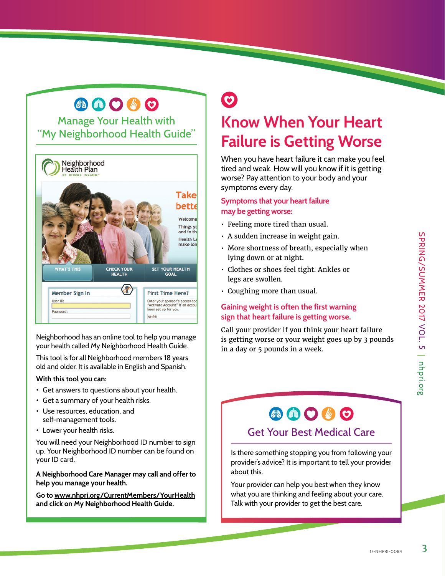## 小曲〇步〇

Manage Your Health with "My Neighborhood Health Guide"



Neighborhood has an online tool to help you manage your health called My Neighborhood Health Guide.

This tool is for all Neighborhood members 18 years old and older. It is available in English and Spanish.

#### **With this tool you can:**

- • Get answers to questions about your health.
- • Get a summary of your health risks.
- • Use resources, education, and self-management tools.
- Lower your health risks.

You will need your Neighborhood ID number to sign up. Your Neighborhood ID number can be found on your ID card.

**A Neighborhood Care Manager may call and offer to help you manage your health.** 

**Go to www.nhpri.org/CurrentMembers/YourHealth and click on My Neighborhood Health Guide.** 

# $\odot$ **Know When Your Heart**

# **Failure is Getting Worse**

When you have heart failure it can make you feel tired and weak. How will you know if it is getting worse? Pay attention to your body and your symptoms every day.

#### **Symptoms that your heart failure may be getting worse:**

- Feeling more tired than usual.
- A sudden increase in weight gain.
- More shortness of breath, especially when lying down or at night.
- Clothes or shoes feel tight. Ankles or legs are swollen.
- Coughing more than usual.

#### **Gaining weight is often the first warning sign that heart failure is getting worse.**

Call your provider if you think your heart failure is getting worse or your weight goes up by 3 pounds in a day or 5 pounds in a week.

# 小曲〇必〇

#### Get Your Best Medical Care

Is there something stopping you from following your provider's advice? It is important to tell your provider about this.

Your provider can help you best when they know what you are thinking and feeling about your care. Talk with your provider to get the best care.

3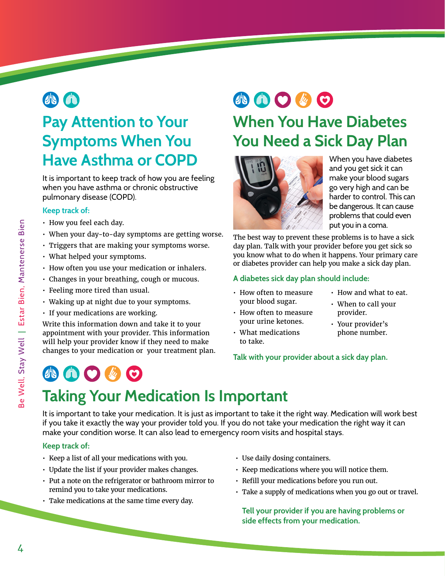

# **Symptoms When You Have Asthma or COPD**

It is important to keep track of how you are feeling when you have asthma or chronic obstructive pulmonary disease (COPD).

#### **Keep track of:**

- How you feel each day.
- When your day-to-day symptoms are getting worse.
- Triggers that are making your symptoms worse.
- What helped your symptoms.
- How often you use your medication or inhalers.
- Changes in your breathing, cough or mucous.
- Feeling more tired than usual.
- Waking up at night due to your symptoms.
- If your medications are working.

**49 6 0 4 0** 

Write this information down and take it to your appointment with your provider. This information will help your provider know if they need to make changes to your medication or your treatment plan.

# **AOOOO**

## **Pay Attention to Your When You Have Diabetes You Need a Sick Day Plan**



When you have diabetes and you get sick it can make your blood sugars go very high and can be harder to control. This can be dangerous. It can cause problems that could even put you in a coma.

The best way to prevent these problems is to have a sick day plan. Talk with your provider before you get sick so you know what to do when it happens. Your primary care or diabetes provider can help you make a sick day plan.

#### **A diabetes sick day plan should include:**

- $\cdot$  How often to measure  $\cdot$  How and what to eat. your blood sugar. • When to call your
- How often to measure provider. your urine ketones. • Your provider's
- What medications bhone number. to take.
- **Talk with your provider about a sick day plan.**
- 
- 
- 

# **Taking Your Medication Is Important**

It is important to take your medication. It is just as important to take it the right way. Medication will work best if you take it exactly the way your provider told you. If you do not take your medication the right way it can make your condition worse. It can also lead to emergency room visits and hospital stays.

#### **Keep track of:**

- Keep a list of all your medications with you.
- Update the list if your provider makes changes.
- Put a note on the refrigerator or bathroom mirror to remind you to take your medications.
- Take medications at the same time every day.
- Use daily dosing containers.
- Keep medications where you will notice them.
- Refill your medications before you run out.
- Take a supply of medications when you go out or travel.

**Tell your provider if you are having problems or side effects from your medication.**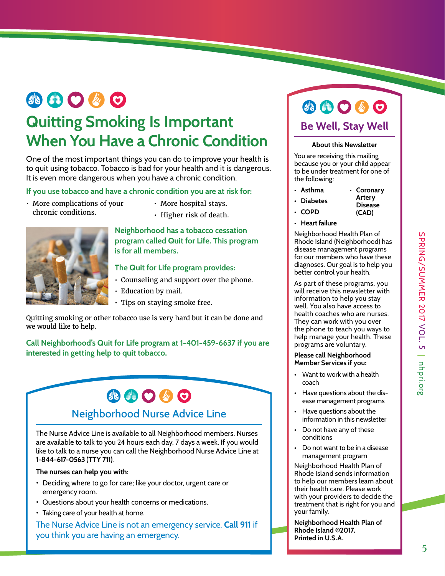# 小曲〇必〇

### **Quitting Smoking Is Important When You Have a Chronic Condition**

One of the most important things you can do to improve your health is to quit using tobacco. Tobacco is bad for your health and it is dangerous. It is even more dangerous when you have a chronic condition.

#### **If you use tobacco and have a chronic condition you are at risk for:**

- More complications of your More hospital stays. chronic conditions. • Higher risk of death.
	-
	-



#### **Neighborhood has a tobacco cessation program called Quit for Life. This program is for all members.**

#### **The Quit for Life program provides:**

- Counseling and support over the phone.
- Education by mail.
- Tips on staying smoke free.

Quitting smoking or other tobacco use is very hard but it can be done and we would like to help.

**Call Neighborhood's Quit for Life program at 1-401-459-6637 if you are interested in getting help to quit tobacco.** 

### 小曲〇步〇 Neighborhood Nurse Advice Line

The Nurse Advice Line is available to all Neighborhood members. Nurses are available to talk to you 24 hours each day, 7 days a week. If you would like to talk to a nurse you can call the Neighborhood Nurse Advice Line at **1-844-617-0563 (TTY 711)**.

#### **The nurses can help you with:**

- Deciding where to go for care; like your doctor, urgent care or emergency room.
- Questions about your health concerns or medications.
- Taking care of your health at home.

The Nurse Advice Line is not an emergency service. **Call 911** if you think you are having an emergency.

### **AO 40 Be Well, Stay Well**

#### **About this Newsletter**

You are receiving this mailing because you or your child appear to be under treatment for one of the following:

- **Asthma • Coronary Artery**
- **Diabetes**
- **COPD** 
	- **(CAD)**

**Disease** 

**• Heart failure** 

Neighborhood Health Plan of Rhode Island (Neighborhood) has disease management programs for our members who have these diagnoses. Our goal is to help you better control your health.

As part of these programs, you will receive this newsletter with information to help you stay well. You also have access to health coaches who are nurses. They can work with you over the phone to teach you ways to help manage your health. These programs are voluntary.

#### **Please call Neighborhood Member Services if you:**

- Want to work with a health coach
- Have questions about the disease management programs
- Have questions about the information in this newsletter
- Do not have any of these conditions
- Do not want to be in a disease management program

Neighborhood Health Plan of Rhode Island sends information to help our members learn about their health care. Please work with your providers to decide the treatment that is right for you and your family.

**Neighborhood Health Plan of Rhode Island ©2017. Printed in U.S.A.**